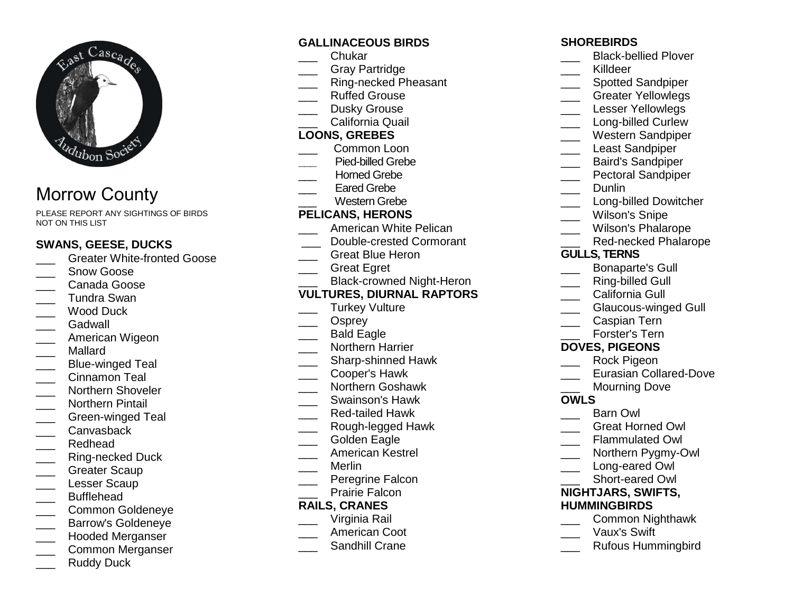

# Morrow County

PLEASE REPORT ANY SIGHTINGS OF BIRDS NOT ON THIS LIST

## **SWANS, GEESE, DUCKS**

- **Constant Constant Constant Constant** Goose
- Snow Goose
- \_\_\_ Canada Goose
- \_\_\_ Tundra Swan
- \_\_\_ Wood Duck
- \_\_\_ Gadwall
- \_\_\_ American Wigeon
- \_\_\_ Mallard
- \_\_\_ Blue-winged Teal
- Cinnamon Teal
- \_\_\_ Northern Shoveler
- \_\_\_ Northern Pintail
- \_\_\_ Green-winged Teal
- \_\_\_ Canvasback
- \_\_\_ Redhead
- \_\_\_ Ring-necked Duck
- Greater Scaup
- \_\_\_ Lesser Scaup
- \_\_\_ Bufflehead
- \_\_\_ Common Goldeneye
- \_\_\_ Barrow's Goldeneye
- \_\_\_ Hooded Merganser
- \_\_\_ Common Merganser
- Ruddy Duck

## **GALLINACEOUS BIRDS**

- \_\_\_ Chukar
- \_\_\_ Gray Partridge
- \_\_\_ Ring-necked Pheasant
- \_\_\_ Ruffed Grouse
- \_\_\_ Dusky Grouse
- \_\_\_ California Quail

## **LOONS, GREBES**

- \_\_\_ Common Loon
- **\_\_\_** Pied-billed Grebe
- Horned Grebe
- Eared Grebe
- \_\_\_ Western Grebe

## **PELICANS, HERONS**

- \_\_\_ American White Pelican
- \_\_\_ Double-crested Cormorant
- \_\_\_ Great Blue Heron
- \_\_\_ Great Egret

## \_\_\_ Black-crowned Night-Heron

## **VULTURES, DIURNAL RAPTORS**

- Turkey Vulture
- Osprey
- \_\_\_ Bald Eagle
- \_\_\_ Northern Harrier
- \_\_\_\_ Sharp-shinned Hawk
- \_\_\_ Cooper's Hawk
- \_\_\_ Northern Goshawk
- \_\_\_ Swainson's Hawk
- \_\_\_ Red-tailed Hawk
- \_\_\_ Rough-legged Hawk
- Golden Eagle
- \_\_\_ American Kestrel
- \_\_\_ Merlin
- \_\_\_ Peregrine Falcon
- Prairie Falcon

## **RAILS, CRANES**

- \_\_\_ Virginia Rail
- \_\_\_ American Coot
- **\_\_\_\_** Sandhill Crane

## **SHOREBIRDS**

- **\_\_\_\_** Black-bellied Plover
- \_\_\_ Killdeer
- \_\_\_\_ Spotted Sandpiper
- **\_\_\_\_** Greater Yellowlegs
- Lesser Yellowlegs
- \_\_\_\_ Long-billed Curlew
- \_\_\_ Western Sandpiper
- Least Sandpiper
- \_\_\_ Baird's Sandpiper
- **EXECUTE:** Pectoral Sandpiper
- \_\_\_ Dunlin
- **Long-billed Dowitcher**
- Wilson's Snipe
- \_\_\_ Wilson's Phalarope
- \_\_\_ Red-necked Phalarope

## **GULLS, TERNS**

- \_\_\_ Bonaparte's Gull
- Ring-billed Gull
- California Gull
- \_\_\_ Glaucous-winged Gull
- \_\_\_ Caspian Tern
- \_\_\_ Forster's Tern

## **DOVES, PIGEONS**

- \_\_\_ Rock Pigeon
- **Lacker Eurasian Collared-Dove**
- Mourning Dove

## **OWLS**

- \_\_\_ Barn Owl
- \_\_\_ Great Horned Owl
- \_\_\_ Flammulated Owl
- \_\_\_ Northern Pygmy-Owl
- Long-eared Owl \_\_\_ Short-eared Owl

**NIGHTJARS, SWIFTS,** 

 \_\_\_ Common Nighthawk \_\_\_ Vaux's Swift \_\_\_ Rufous Hummingbird

**HUMMINGBIRDS**